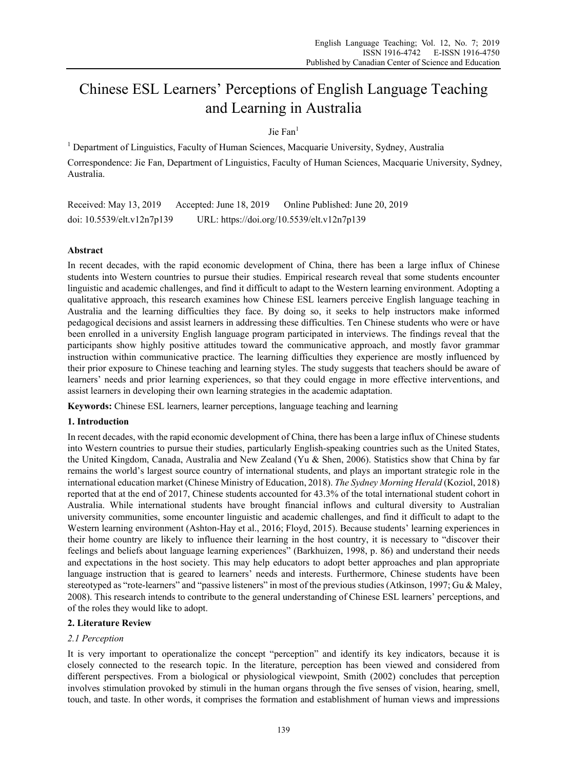# Chinese ESL Learners' Perceptions of English Language Teaching and Learning in Australia

# Jie Fan<sup>1</sup>

<sup>1</sup> Department of Linguistics, Faculty of Human Sciences, Macquarie University, Sydney, Australia Correspondence: Jie Fan, Department of Linguistics, Faculty of Human Sciences, Macquarie University, Sydney, Australia.

Received: May 13, 2019 Accepted: June 18, 2019 Online Published: June 20, 2019 doi: 10.5539/elt.v12n7p139 URL: https://doi.org/10.5539/elt.v12n7p139

# **Abstract**

In recent decades, with the rapid economic development of China, there has been a large influx of Chinese students into Western countries to pursue their studies. Empirical research reveal that some students encounter linguistic and academic challenges, and find it difficult to adapt to the Western learning environment. Adopting a qualitative approach, this research examines how Chinese ESL learners perceive English language teaching in Australia and the learning difficulties they face. By doing so, it seeks to help instructors make informed pedagogical decisions and assist learners in addressing these difficulties. Ten Chinese students who were or have been enrolled in a university English language program participated in interviews. The findings reveal that the participants show highly positive attitudes toward the communicative approach, and mostly favor grammar instruction within communicative practice. The learning difficulties they experience are mostly influenced by their prior exposure to Chinese teaching and learning styles. The study suggests that teachers should be aware of learners' needs and prior learning experiences, so that they could engage in more effective interventions, and assist learners in developing their own learning strategies in the academic adaptation.

**Keywords:** Chinese ESL learners, learner perceptions, language teaching and learning

# **1. Introduction**

In recent decades, with the rapid economic development of China, there has been a large influx of Chinese students into Western countries to pursue their studies, particularly English-speaking countries such as the United States, the United Kingdom, Canada, Australia and New Zealand (Yu & Shen, 2006). Statistics show that China by far remains the world's largest source country of international students, and plays an important strategic role in the international education market (Chinese Ministry of Education, 2018). *The Sydney Morning Herald* (Koziol, 2018) reported that at the end of 2017, Chinese students accounted for 43.3% of the total international student cohort in Australia. While international students have brought financial inflows and cultural diversity to Australian university communities, some encounter linguistic and academic challenges, and find it difficult to adapt to the Western learning environment (Ashton-Hay et al., 2016; Floyd, 2015). Because students' learning experiences in their home country are likely to influence their learning in the host country, it is necessary to "discover their feelings and beliefs about language learning experiences" (Barkhuizen, 1998, p. 86) and understand their needs and expectations in the host society. This may help educators to adopt better approaches and plan appropriate language instruction that is geared to learners' needs and interests. Furthermore, Chinese students have been stereotyped as "rote-learners" and "passive listeners" in most of the previous studies (Atkinson, 1997; Gu & Maley, 2008). This research intends to contribute to the general understanding of Chinese ESL learners' perceptions, and of the roles they would like to adopt.

# **2. Literature Review**

# *2.1 Perception*

It is very important to operationalize the concept "perception" and identify its key indicators, because it is closely connected to the research topic. In the literature, perception has been viewed and considered from different perspectives. From a biological or physiological viewpoint, Smith (2002) concludes that perception involves stimulation provoked by stimuli in the human organs through the five senses of vision, hearing, smell, touch, and taste. In other words, it comprises the formation and establishment of human views and impressions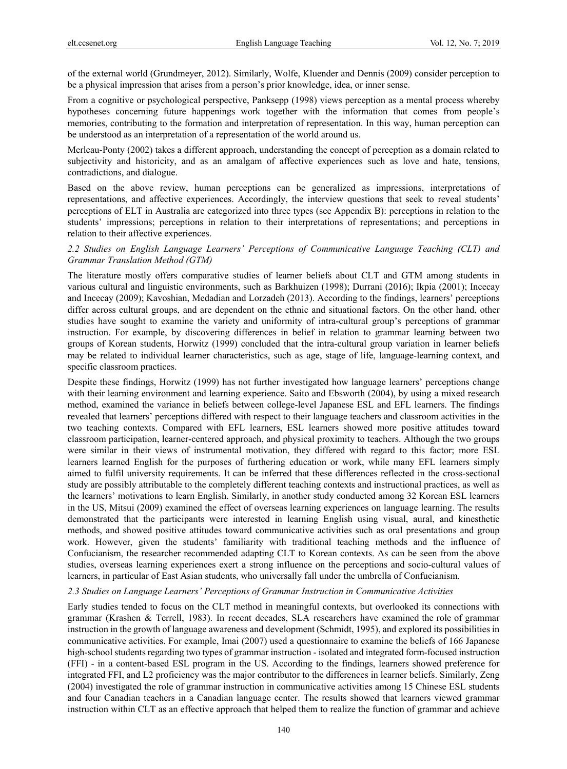of the external world (Grundmeyer, 2012). Similarly, Wolfe, Kluender and Dennis (2009) consider perception to be a physical impression that arises from a person's prior knowledge, idea, or inner sense.

From a cognitive or psychological perspective, Panksepp (1998) views perception as a mental process whereby hypotheses concerning future happenings work together with the information that comes from people's memories, contributing to the formation and interpretation of representation. In this way, human perception can be understood as an interpretation of a representation of the world around us.

Merleau-Ponty (2002) takes a different approach, understanding the concept of perception as a domain related to subjectivity and historicity, and as an amalgam of affective experiences such as love and hate, tensions, contradictions, and dialogue.

Based on the above review, human perceptions can be generalized as impressions, interpretations of representations, and affective experiences. Accordingly, the interview questions that seek to reveal students' perceptions of ELT in Australia are categorized into three types (see Appendix B): perceptions in relation to the students' impressions; perceptions in relation to their interpretations of representations; and perceptions in relation to their affective experiences.

### *2.2 Studies on English Language Learners' Perceptions of Communicative Language Teaching (CLT) and Grammar Translation Method (GTM)*

The literature mostly offers comparative studies of learner beliefs about CLT and GTM among students in various cultural and linguistic environments, such as Barkhuizen (1998); Durrani (2016); Ikpia (2001); Incecay and Incecay (2009); Kavoshian, Medadian and Lorzadeh (2013). According to the findings, learners' perceptions differ across cultural groups, and are dependent on the ethnic and situational factors. On the other hand, other studies have sought to examine the variety and uniformity of intra-cultural group's perceptions of grammar instruction. For example, by discovering differences in belief in relation to grammar learning between two groups of Korean students, Horwitz (1999) concluded that the intra-cultural group variation in learner beliefs may be related to individual learner characteristics, such as age, stage of life, language-learning context, and specific classroom practices.

Despite these findings, Horwitz (1999) has not further investigated how language learners' perceptions change with their learning environment and learning experience. Saito and Ebsworth (2004), by using a mixed research method, examined the variance in beliefs between college-level Japanese ESL and EFL learners. The findings revealed that learners' perceptions differed with respect to their language teachers and classroom activities in the two teaching contexts. Compared with EFL learners, ESL learners showed more positive attitudes toward classroom participation, learner-centered approach, and physical proximity to teachers. Although the two groups were similar in their views of instrumental motivation, they differed with regard to this factor; more ESL learners learned English for the purposes of furthering education or work, while many EFL learners simply aimed to fulfil university requirements. It can be inferred that these differences reflected in the cross-sectional study are possibly attributable to the completely different teaching contexts and instructional practices, as well as the learners' motivations to learn English. Similarly, in another study conducted among 32 Korean ESL learners in the US, Mitsui (2009) examined the effect of overseas learning experiences on language learning. The results demonstrated that the participants were interested in learning English using visual, aural, and kinesthetic methods, and showed positive attitudes toward communicative activities such as oral presentations and group work. However, given the students' familiarity with traditional teaching methods and the influence of Confucianism, the researcher recommended adapting CLT to Korean contexts. As can be seen from the above studies, overseas learning experiences exert a strong influence on the perceptions and socio-cultural values of learners, in particular of East Asian students, who universally fall under the umbrella of Confucianism.

### *2.3 Studies on Language Learners' Perceptions of Grammar Instruction in Communicative Activities*

Early studies tended to focus on the CLT method in meaningful contexts, but overlooked its connections with grammar (Krashen & Terrell, 1983). In recent decades, SLA researchers have examined the role of grammar instruction in the growth of language awareness and development (Schmidt, 1995), and explored its possibilities in communicative activities. For example, Imai (2007) used a questionnaire to examine the beliefs of 166 Japanese high-school students regarding two types of grammar instruction - isolated and integrated form-focused instruction (FFI) - in a content-based ESL program in the US. According to the findings, learners showed preference for integrated FFI, and L2 proficiency was the major contributor to the differences in learner beliefs. Similarly, Zeng (2004) investigated the role of grammar instruction in communicative activities among 15 Chinese ESL students and four Canadian teachers in a Canadian language center. The results showed that learners viewed grammar instruction within CLT as an effective approach that helped them to realize the function of grammar and achieve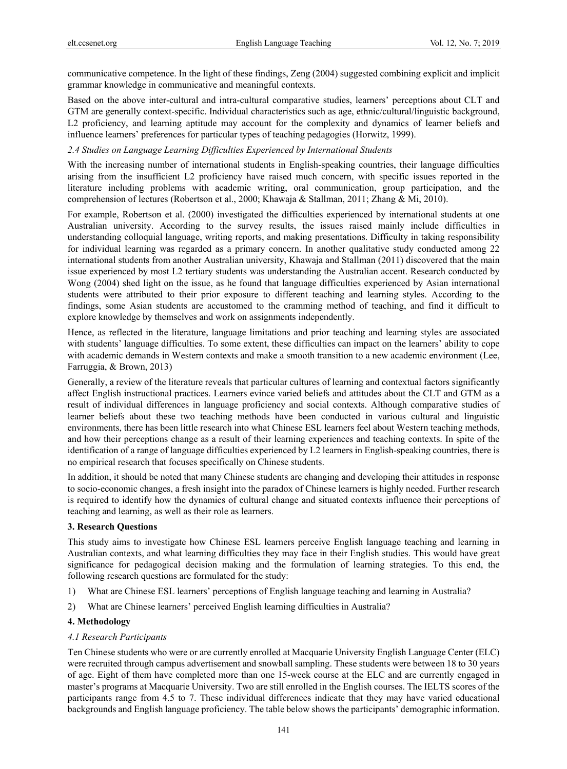communicative competence. In the light of these findings, Zeng (2004) suggested combining explicit and implicit grammar knowledge in communicative and meaningful contexts.

Based on the above inter-cultural and intra-cultural comparative studies, learners' perceptions about CLT and GTM are generally context-specific. Individual characteristics such as age, ethnic/cultural/linguistic background, L2 proficiency, and learning aptitude may account for the complexity and dynamics of learner beliefs and influence learners' preferences for particular types of teaching pedagogies (Horwitz, 1999).

#### *2.4 Studies on Language Learning Difficulties Experienced by International Students*

With the increasing number of international students in English-speaking countries, their language difficulties arising from the insufficient L2 proficiency have raised much concern, with specific issues reported in the literature including problems with academic writing, oral communication, group participation, and the comprehension of lectures (Robertson et al., 2000; Khawaja & Stallman, 2011; Zhang & Mi, 2010).

For example, Robertson et al. (2000) investigated the difficulties experienced by international students at one Australian university. According to the survey results, the issues raised mainly include difficulties in understanding colloquial language, writing reports, and making presentations. Difficulty in taking responsibility for individual learning was regarded as a primary concern. In another qualitative study conducted among 22 international students from another Australian university, Khawaja and Stallman (2011) discovered that the main issue experienced by most L2 tertiary students was understanding the Australian accent. Research conducted by Wong (2004) shed light on the issue, as he found that language difficulties experienced by Asian international students were attributed to their prior exposure to different teaching and learning styles. According to the findings, some Asian students are accustomed to the cramming method of teaching, and find it difficult to explore knowledge by themselves and work on assignments independently.

Hence, as reflected in the literature, language limitations and prior teaching and learning styles are associated with students' language difficulties. To some extent, these difficulties can impact on the learners' ability to cope with academic demands in Western contexts and make a smooth transition to a new academic environment (Lee, Farruggia, & Brown, 2013)

Generally, a review of the literature reveals that particular cultures of learning and contextual factors significantly affect English instructional practices. Learners evince varied beliefs and attitudes about the CLT and GTM as a result of individual differences in language proficiency and social contexts. Although comparative studies of learner beliefs about these two teaching methods have been conducted in various cultural and linguistic environments, there has been little research into what Chinese ESL learners feel about Western teaching methods, and how their perceptions change as a result of their learning experiences and teaching contexts. In spite of the identification of a range of language difficulties experienced by L2 learners in English-speaking countries, there is no empirical research that focuses specifically on Chinese students.

In addition, it should be noted that many Chinese students are changing and developing their attitudes in response to socio-economic changes, a fresh insight into the paradox of Chinese learners is highly needed. Further research is required to identify how the dynamics of cultural change and situated contexts influence their perceptions of teaching and learning, as well as their role as learners.

### **3. Research Questions**

This study aims to investigate how Chinese ESL learners perceive English language teaching and learning in Australian contexts, and what learning difficulties they may face in their English studies. This would have great significance for pedagogical decision making and the formulation of learning strategies. To this end, the following research questions are formulated for the study:

- 1) What are Chinese ESL learners' perceptions of English language teaching and learning in Australia?
- 2) What are Chinese learners' perceived English learning difficulties in Australia?

### **4. Methodology**

### *4.1 Research Participants*

Ten Chinese students who were or are currently enrolled at Macquarie University English Language Center (ELC) were recruited through campus advertisement and snowball sampling. These students were between 18 to 30 years of age. Eight of them have completed more than one 15-week course at the ELC and are currently engaged in master's programs at Macquarie University. Two are still enrolled in the English courses. The IELTS scores of the participants range from 4.5 to 7. These individual differences indicate that they may have varied educational backgrounds and English language proficiency. The table below shows the participants' demographic information.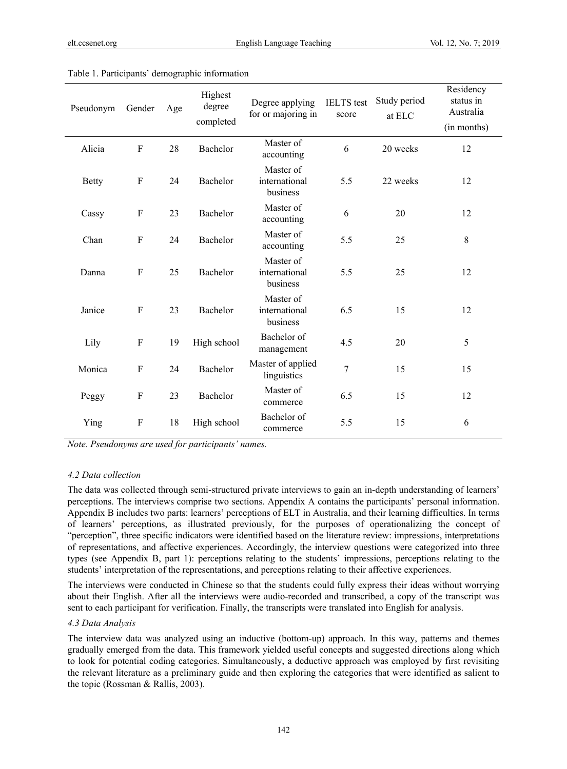| Pseudonym    | Gender       | Age | Highest<br>degree<br>completed | Degree applying<br>for or majoring in  | <b>IELTS</b> test<br>score | Study period<br>at ELC | Residency<br>status in<br>Australia<br>(in months) |
|--------------|--------------|-----|--------------------------------|----------------------------------------|----------------------------|------------------------|----------------------------------------------------|
| Alicia       | $\mathbf F$  | 28  | Bachelor                       | Master of<br>accounting                | 6                          | 20 weeks               | 12                                                 |
| <b>Betty</b> | $\mathbf F$  | 24  | Bachelor                       | Master of<br>international<br>business | 5.5                        | 22 weeks               | 12                                                 |
| Cassy        | $\mathbf F$  | 23  | Bachelor                       | Master of<br>accounting                | 6                          | 20                     | 12                                                 |
| Chan         | $\mathbf F$  | 24  | Bachelor                       | Master of<br>accounting                | 5.5                        | 25                     | $\,8\,$                                            |
| Danna        | $\mathbf{F}$ | 25  | Bachelor                       | Master of<br>international<br>business | 5.5                        | 25                     | 12                                                 |
| Janice       | $\mathbf{F}$ | 23  | Bachelor                       | Master of<br>international<br>business | 6.5                        | 15                     | 12                                                 |
| Lily         | $\mathbf F$  | 19  | High school                    | Bachelor of<br>management              | 4.5                        | 20                     | 5                                                  |
| Monica       | $\mathbf F$  | 24  | Bachelor                       | Master of applied<br>linguistics       | 7                          | 15                     | 15                                                 |
| Peggy        | $\mathbf F$  | 23  | Bachelor                       | Master of<br>commerce                  | 6.5                        | 15                     | 12                                                 |
| Ying         | $\mathbf{F}$ | 18  | High school                    | Bachelor of<br>commerce                | 5.5                        | 15                     | 6                                                  |

#### Table 1. Participants' demographic information

*Note. Pseudonyms are used for participants' names.* 

#### *4.2 Data collection*

The data was collected through semi-structured private interviews to gain an in-depth understanding of learners' perceptions. The interviews comprise two sections. Appendix A contains the participants' personal information. Appendix B includes two parts: learners' perceptions of ELT in Australia, and their learning difficulties. In terms of learners' perceptions, as illustrated previously, for the purposes of operationalizing the concept of "perception", three specific indicators were identified based on the literature review: impressions, interpretations of representations, and affective experiences. Accordingly, the interview questions were categorized into three types (see Appendix B, part 1): perceptions relating to the students' impressions, perceptions relating to the students' interpretation of the representations, and perceptions relating to their affective experiences.

The interviews were conducted in Chinese so that the students could fully express their ideas without worrying about their English. After all the interviews were audio-recorded and transcribed, a copy of the transcript was sent to each participant for verification. Finally, the transcripts were translated into English for analysis.

### *4.3 Data Analysis*

The interview data was analyzed using an inductive (bottom-up) approach. In this way, patterns and themes gradually emerged from the data. This framework yielded useful concepts and suggested directions along which to look for potential coding categories. Simultaneously, a deductive approach was employed by first revisiting the relevant literature as a preliminary guide and then exploring the categories that were identified as salient to the topic (Rossman & Rallis, 2003).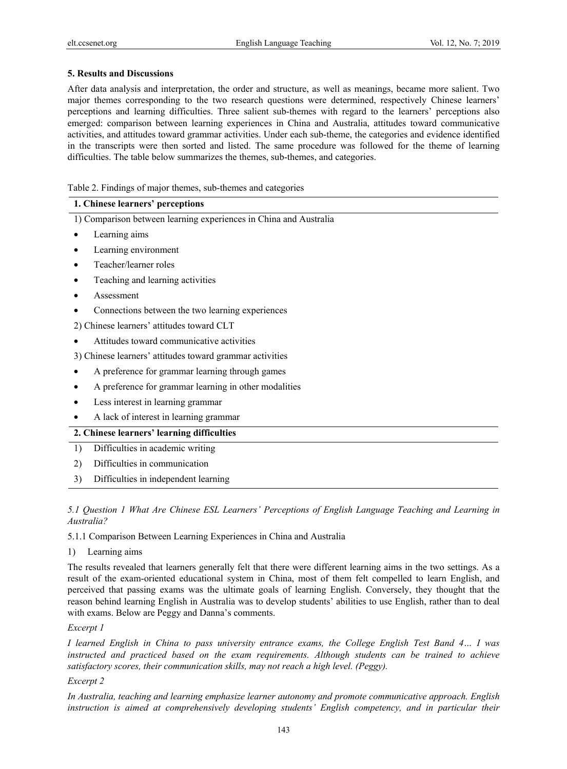### **5. Results and Discussions**

After data analysis and interpretation, the order and structure, as well as meanings, became more salient. Two major themes corresponding to the two research questions were determined, respectively Chinese learners' perceptions and learning difficulties. Three salient sub-themes with regard to the learners' perceptions also emerged: comparison between learning experiences in China and Australia, attitudes toward communicative activities, and attitudes toward grammar activities. Under each sub-theme, the categories and evidence identified in the transcripts were then sorted and listed. The same procedure was followed for the theme of learning difficulties. The table below summarizes the themes, sub-themes, and categories.

Table 2. Findings of major themes, sub-themes and categories

### **1. Chinese learners' perceptions**

1) Comparison between learning experiences in China and Australia

- Learning aims
- Learning environment
- Teacher/learner roles
- Teaching and learning activities
- Assessment
- Connections between the two learning experiences

2) Chinese learners' attitudes toward CLT

• Attitudes toward communicative activities

3) Chinese learners' attitudes toward grammar activities

- A preference for grammar learning through games
- A preference for grammar learning in other modalities
- Less interest in learning grammar
- A lack of interest in learning grammar

# **2. Chinese learners' learning difficulties**

- 1) Difficulties in academic writing
- 2) Difficulties in communication
- 3) Difficulties in independent learning

*5.1 Question 1 What Are Chinese ESL Learners' Perceptions of English Language Teaching and Learning in Australia?* 

5.1.1 Comparison Between Learning Experiences in China and Australia

### 1) Learning aims

The results revealed that learners generally felt that there were different learning aims in the two settings. As a result of the exam-oriented educational system in China, most of them felt compelled to learn English, and perceived that passing exams was the ultimate goals of learning English. Conversely, they thought that the reason behind learning English in Australia was to develop students' abilities to use English, rather than to deal with exams. Below are Peggy and Danna's comments.

### *Excerpt 1*

*I learned English in China to pass university entrance exams, the College English Test Band 4… I was instructed and practiced based on the exam requirements. Although students can be trained to achieve satisfactory scores, their communication skills, may not reach a high level. (Peggy).* 

### *Excerpt 2*

*In Australia, teaching and learning emphasize learner autonomy and promote communicative approach. English instruction is aimed at comprehensively developing students' English competency, and in particular their*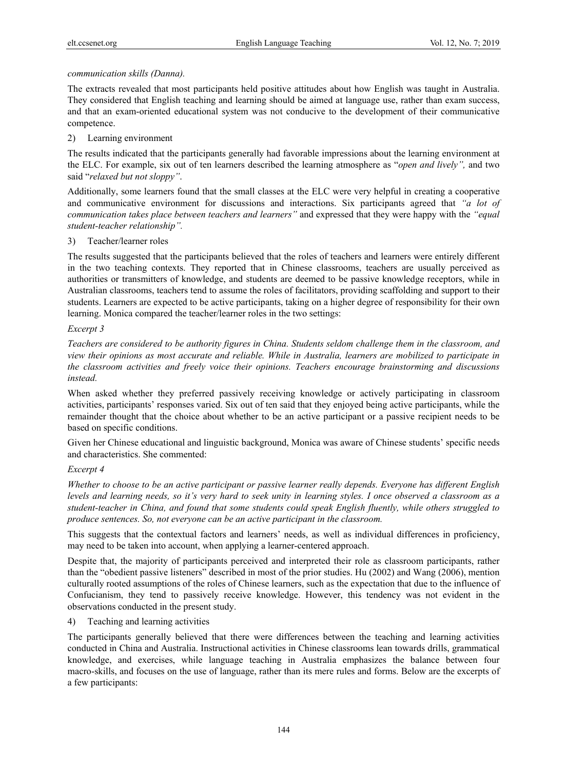### *communication skills (Danna).*

The extracts revealed that most participants held positive attitudes about how English was taught in Australia. They considered that English teaching and learning should be aimed at language use, rather than exam success, and that an exam-oriented educational system was not conducive to the development of their communicative competence.

### 2) Learning environment

The results indicated that the participants generally had favorable impressions about the learning environment at the ELC. For example, six out of ten learners described the learning atmosphere as "*open and lively",* and two said "*relaxed but not sloppy"*.

Additionally, some learners found that the small classes at the ELC were very helpful in creating a cooperative and communicative environment for discussions and interactions. Six participants agreed that *"a lot of communication takes place between teachers and learners"* and expressed that they were happy with the *"equal student-teacher relationship".*

### 3) Teacher/learner roles

The results suggested that the participants believed that the roles of teachers and learners were entirely different in the two teaching contexts. They reported that in Chinese classrooms, teachers are usually perceived as authorities or transmitters of knowledge, and students are deemed to be passive knowledge receptors, while in Australian classrooms, teachers tend to assume the roles of facilitators, providing scaffolding and support to their students. Learners are expected to be active participants, taking on a higher degree of responsibility for their own learning. Monica compared the teacher/learner roles in the two settings:

### *Excerpt 3*

*Teachers are considered to be authority figures in China. Students seldom challenge them in the classroom, and view their opinions as most accurate and reliable. While in Australia, learners are mobilized to participate in the classroom activities and freely voice their opinions. Teachers encourage brainstorming and discussions instead.* 

When asked whether they preferred passively receiving knowledge or actively participating in classroom activities, participants' responses varied. Six out of ten said that they enjoyed being active participants, while the remainder thought that the choice about whether to be an active participant or a passive recipient needs to be based on specific conditions.

Given her Chinese educational and linguistic background, Monica was aware of Chinese students' specific needs and characteristics. She commented:

# *Excerpt 4*

*Whether to choose to be an active participant or passive learner really depends. Everyone has different English levels and learning needs, so it's very hard to seek unity in learning styles. I once observed a classroom as a student-teacher in China, and found that some students could speak English fluently, while others struggled to produce sentences. So, not everyone can be an active participant in the classroom.* 

This suggests that the contextual factors and learners' needs, as well as individual differences in proficiency, may need to be taken into account, when applying a learner-centered approach.

Despite that, the majority of participants perceived and interpreted their role as classroom participants, rather than the "obedient passive listeners" described in most of the prior studies. Hu (2002) and Wang (2006), mention culturally rooted assumptions of the roles of Chinese learners, such as the expectation that due to the influence of Confucianism, they tend to passively receive knowledge. However, this tendency was not evident in the observations conducted in the present study.

4) Teaching and learning activities

The participants generally believed that there were differences between the teaching and learning activities conducted in China and Australia. Instructional activities in Chinese classrooms lean towards drills, grammatical knowledge, and exercises, while language teaching in Australia emphasizes the balance between four macro-skills, and focuses on the use of language, rather than its mere rules and forms. Below are the excerpts of a few participants: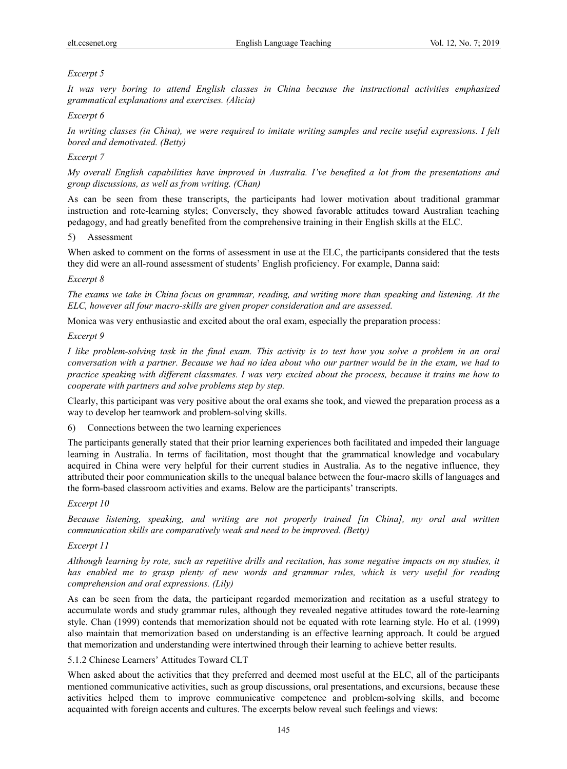# *Excerpt 5*

*It was very boring to attend English classes in China because the instructional activities emphasized grammatical explanations and exercises. (Alicia)* 

### *Excerpt 6*

*In writing classes (in China), we were required to imitate writing samples and recite useful expressions. I felt bored and demotivated. (Betty)* 

### *Excerpt 7*

*My overall English capabilities have improved in Australia. I've benefited a lot from the presentations and group discussions, as well as from writing. (Chan)* 

As can be seen from these transcripts, the participants had lower motivation about traditional grammar instruction and rote-learning styles; Conversely, they showed favorable attitudes toward Australian teaching pedagogy, and had greatly benefited from the comprehensive training in their English skills at the ELC.

### 5) Assessment

When asked to comment on the forms of assessment in use at the ELC, the participants considered that the tests they did were an all-round assessment of students' English proficiency. For example, Danna said:

### *Excerpt 8*

*The exams we take in China focus on grammar, reading, and writing more than speaking and listening. At the ELC, however all four macro-skills are given proper consideration and are assessed.* 

Monica was very enthusiastic and excited about the oral exam, especially the preparation process:

### *Excerpt 9*

*I like problem-solving task in the final exam. This activity is to test how you solve a problem in an oral conversation with a partner. Because we had no idea about who our partner would be in the exam, we had to practice speaking with different classmates. I was very excited about the process, because it trains me how to cooperate with partners and solve problems step by step.* 

Clearly, this participant was very positive about the oral exams she took, and viewed the preparation process as a way to develop her teamwork and problem-solving skills.

6) Connections between the two learning experiences

The participants generally stated that their prior learning experiences both facilitated and impeded their language learning in Australia. In terms of facilitation, most thought that the grammatical knowledge and vocabulary acquired in China were very helpful for their current studies in Australia. As to the negative influence, they attributed their poor communication skills to the unequal balance between the four-macro skills of languages and the form-based classroom activities and exams. Below are the participants' transcripts.

### *Excerpt 10*

*Because listening, speaking, and writing are not properly trained [in China], my oral and written communication skills are comparatively weak and need to be improved. (Betty)* 

### *Excerpt 11*

*Although learning by rote, such as repetitive drills and recitation, has some negative impacts on my studies, it*  has enabled me to grasp plenty of new words and grammar rules, which is very useful for reading *comprehension and oral expressions. (Lily)* 

As can be seen from the data, the participant regarded memorization and recitation as a useful strategy to accumulate words and study grammar rules, although they revealed negative attitudes toward the rote-learning style. Chan (1999) contends that memorization should not be equated with rote learning style. Ho et al. (1999) also maintain that memorization based on understanding is an effective learning approach. It could be argued that memorization and understanding were intertwined through their learning to achieve better results.

### 5.1.2 Chinese Learners' Attitudes Toward CLT

When asked about the activities that they preferred and deemed most useful at the ELC, all of the participants mentioned communicative activities, such as group discussions, oral presentations, and excursions, because these activities helped them to improve communicative competence and problem-solving skills, and become acquainted with foreign accents and cultures. The excerpts below reveal such feelings and views: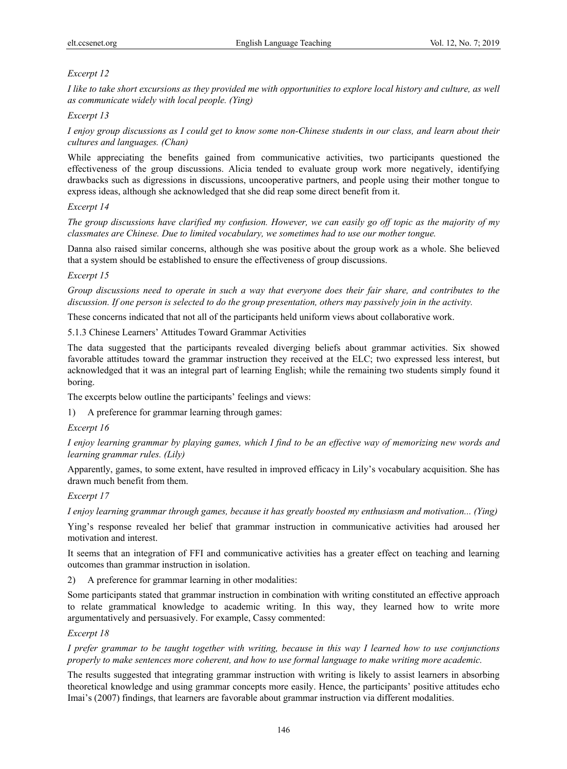# *Excerpt 12*

*I like to take short excursions as they provided me with opportunities to explore local history and culture, as well as communicate widely with local people. (Ying)* 

### *Excerpt 13*

*I enjoy group discussions as I could get to know some non-Chinese students in our class, and learn about their cultures and languages. (Chan)* 

While appreciating the benefits gained from communicative activities, two participants questioned the effectiveness of the group discussions. Alicia tended to evaluate group work more negatively, identifying drawbacks such as digressions in discussions, uncooperative partners, and people using their mother tongue to express ideas, although she acknowledged that she did reap some direct benefit from it.

### *Excerpt 14*

*The group discussions have clarified my confusion. However, we can easily go off topic as the majority of my classmates are Chinese. Due to limited vocabulary, we sometimes had to use our mother tongue.* 

Danna also raised similar concerns, although she was positive about the group work as a whole. She believed that a system should be established to ensure the effectiveness of group discussions.

### *Excerpt 15*

*Group discussions need to operate in such a way that everyone does their fair share, and contributes to the discussion. If one person is selected to do the group presentation, others may passively join in the activity.* 

These concerns indicated that not all of the participants held uniform views about collaborative work.

5.1.3 Chinese Learners' Attitudes Toward Grammar Activities

The data suggested that the participants revealed diverging beliefs about grammar activities. Six showed favorable attitudes toward the grammar instruction they received at the ELC; two expressed less interest, but acknowledged that it was an integral part of learning English; while the remaining two students simply found it boring.

The excerpts below outline the participants' feelings and views:

1) A preference for grammar learning through games:

### *Excerpt 16*

*I enjoy learning grammar by playing games, which I find to be an effective way of memorizing new words and learning grammar rules. (Lily)* 

Apparently, games, to some extent, have resulted in improved efficacy in Lily's vocabulary acquisition. She has drawn much benefit from them.

### *Excerpt 17*

*I enjoy learning grammar through games, because it has greatly boosted my enthusiasm and motivation... (Ying)* 

Ying's response revealed her belief that grammar instruction in communicative activities had aroused her motivation and interest.

It seems that an integration of FFI and communicative activities has a greater effect on teaching and learning outcomes than grammar instruction in isolation.

2) A preference for grammar learning in other modalities:

Some participants stated that grammar instruction in combination with writing constituted an effective approach to relate grammatical knowledge to academic writing. In this way, they learned how to write more argumentatively and persuasively. For example, Cassy commented:

### *Excerpt 18*

*I prefer grammar to be taught together with writing, because in this way I learned how to use conjunctions properly to make sentences more coherent, and how to use formal language to make writing more academic.* 

The results suggested that integrating grammar instruction with writing is likely to assist learners in absorbing theoretical knowledge and using grammar concepts more easily. Hence, the participants' positive attitudes echo Imai's (2007) findings, that learners are favorable about grammar instruction via different modalities.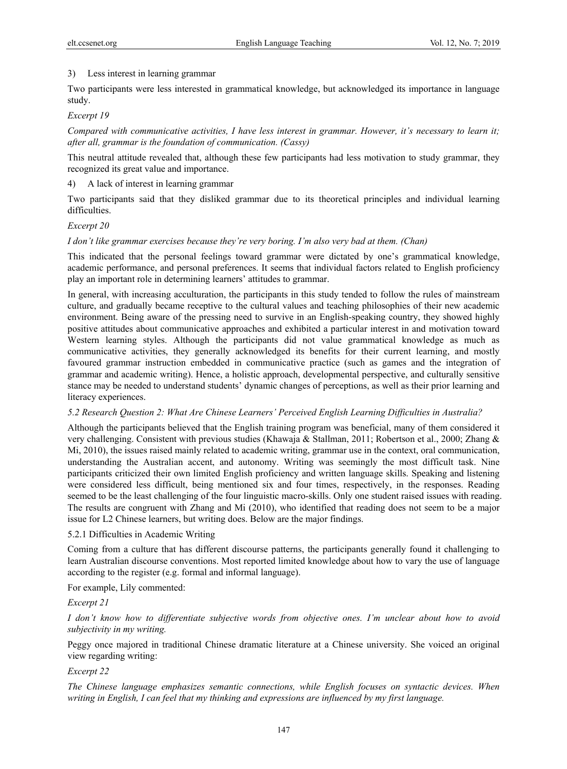### 3) Less interest in learning grammar

Two participants were less interested in grammatical knowledge, but acknowledged its importance in language study.

### *Excerpt 19*

*Compared with communicative activities, I have less interest in grammar. However, it's necessary to learn it; after all, grammar is the foundation of communication. (Cassy)* 

This neutral attitude revealed that, although these few participants had less motivation to study grammar, they recognized its great value and importance.

4) A lack of interest in learning grammar

Two participants said that they disliked grammar due to its theoretical principles and individual learning difficulties.

### *Excerpt 20*

### *I don't like grammar exercises because they're very boring. I'm also very bad at them. (Chan)*

This indicated that the personal feelings toward grammar were dictated by one's grammatical knowledge, academic performance, and personal preferences. It seems that individual factors related to English proficiency play an important role in determining learners' attitudes to grammar.

In general, with increasing acculturation, the participants in this study tended to follow the rules of mainstream culture, and gradually became receptive to the cultural values and teaching philosophies of their new academic environment. Being aware of the pressing need to survive in an English-speaking country, they showed highly positive attitudes about communicative approaches and exhibited a particular interest in and motivation toward Western learning styles. Although the participants did not value grammatical knowledge as much as communicative activities, they generally acknowledged its benefits for their current learning, and mostly favoured grammar instruction embedded in communicative practice (such as games and the integration of grammar and academic writing). Hence, a holistic approach, developmental perspective, and culturally sensitive stance may be needed to understand students' dynamic changes of perceptions, as well as their prior learning and literacy experiences.

### *5.2 Research Question 2: What Are Chinese Learners' Perceived English Learning Difficulties in Australia?*

Although the participants believed that the English training program was beneficial, many of them considered it very challenging. Consistent with previous studies (Khawaja & Stallman, 2011; Robertson et al., 2000; Zhang & Mi, 2010), the issues raised mainly related to academic writing, grammar use in the context, oral communication, understanding the Australian accent, and autonomy. Writing was seemingly the most difficult task. Nine participants criticized their own limited English proficiency and written language skills. Speaking and listening were considered less difficult, being mentioned six and four times, respectively, in the responses. Reading seemed to be the least challenging of the four linguistic macro-skills. Only one student raised issues with reading. The results are congruent with Zhang and Mi (2010), who identified that reading does not seem to be a major issue for L2 Chinese learners, but writing does. Below are the major findings.

### 5.2.1 Difficulties in Academic Writing

Coming from a culture that has different discourse patterns, the participants generally found it challenging to learn Australian discourse conventions. Most reported limited knowledge about how to vary the use of language according to the register (e.g. formal and informal language).

For example, Lily commented:

### *Excerpt 21*

*I don't know how to differentiate subjective words from objective ones. I'm unclear about how to avoid subjectivity in my writing.* 

Peggy once majored in traditional Chinese dramatic literature at a Chinese university. She voiced an original view regarding writing:

### *Excerpt 22*

*The Chinese language emphasizes semantic connections, while English focuses on syntactic devices. When writing in English, I can feel that my thinking and expressions are influenced by my first language.*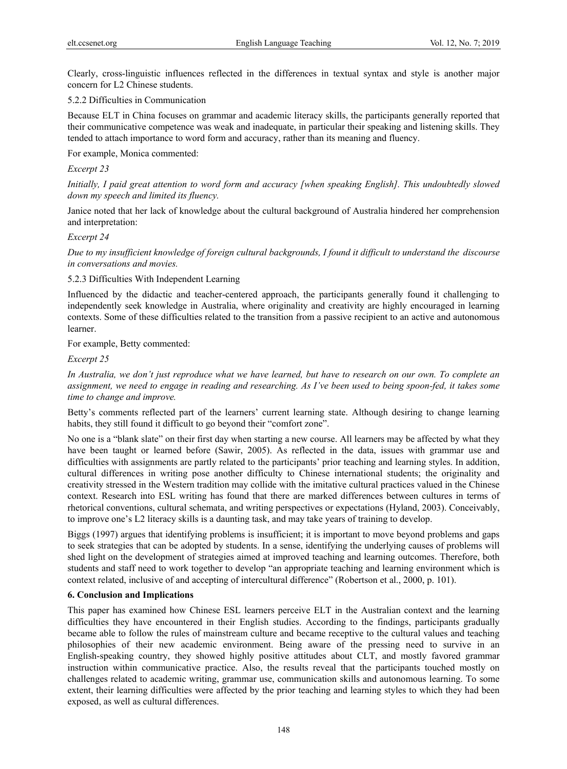Clearly, cross-linguistic influences reflected in the differences in textual syntax and style is another major concern for L2 Chinese students.

### 5.2.2 Difficulties in Communication

Because ELT in China focuses on grammar and academic literacy skills, the participants generally reported that their communicative competence was weak and inadequate, in particular their speaking and listening skills. They tended to attach importance to word form and accuracy, rather than its meaning and fluency.

For example, Monica commented:

### *Excerpt 23*

*Initially, I paid great attention to word form and accuracy [when speaking English]. This undoubtedly slowed down my speech and limited its fluency.* 

Janice noted that her lack of knowledge about the cultural background of Australia hindered her comprehension and interpretation:

#### *Excerpt 24*

*Due to my insufficient knowledge of foreign cultural backgrounds, I found it difficult to understand the discourse in conversations and movies.* 

#### 5.2.3 Difficulties With Independent Learning

Influenced by the didactic and teacher-centered approach, the participants generally found it challenging to independently seek knowledge in Australia, where originality and creativity are highly encouraged in learning contexts. Some of these difficulties related to the transition from a passive recipient to an active and autonomous learner.

For example, Betty commented:

#### *Excerpt 25*

*In Australia, we don't just reproduce what we have learned, but have to research on our own. To complete an assignment, we need to engage in reading and researching. As I've been used to being spoon-fed, it takes some time to change and improve.* 

Betty's comments reflected part of the learners' current learning state. Although desiring to change learning habits, they still found it difficult to go beyond their "comfort zone".

No one is a "blank slate" on their first day when starting a new course. All learners may be affected by what they have been taught or learned before (Sawir, 2005). As reflected in the data, issues with grammar use and difficulties with assignments are partly related to the participants' prior teaching and learning styles. In addition, cultural differences in writing pose another difficulty to Chinese international students; the originality and creativity stressed in the Western tradition may collide with the imitative cultural practices valued in the Chinese context. Research into ESL writing has found that there are marked differences between cultures in terms of rhetorical conventions, cultural schemata, and writing perspectives or expectations (Hyland, 2003). Conceivably, to improve one's L2 literacy skills is a daunting task, and may take years of training to develop.

Biggs (1997) argues that identifying problems is insufficient; it is important to move beyond problems and gaps to seek strategies that can be adopted by students. In a sense, identifying the underlying causes of problems will shed light on the development of strategies aimed at improved teaching and learning outcomes. Therefore, both students and staff need to work together to develop "an appropriate teaching and learning environment which is context related, inclusive of and accepting of intercultural difference" (Robertson et al., 2000, p. 101).

### **6. Conclusion and Implications**

This paper has examined how Chinese ESL learners perceive ELT in the Australian context and the learning difficulties they have encountered in their English studies. According to the findings, participants gradually became able to follow the rules of mainstream culture and became receptive to the cultural values and teaching philosophies of their new academic environment. Being aware of the pressing need to survive in an English-speaking country, they showed highly positive attitudes about CLT, and mostly favored grammar instruction within communicative practice. Also, the results reveal that the participants touched mostly on challenges related to academic writing, grammar use, communication skills and autonomous learning. To some extent, their learning difficulties were affected by the prior teaching and learning styles to which they had been exposed, as well as cultural differences.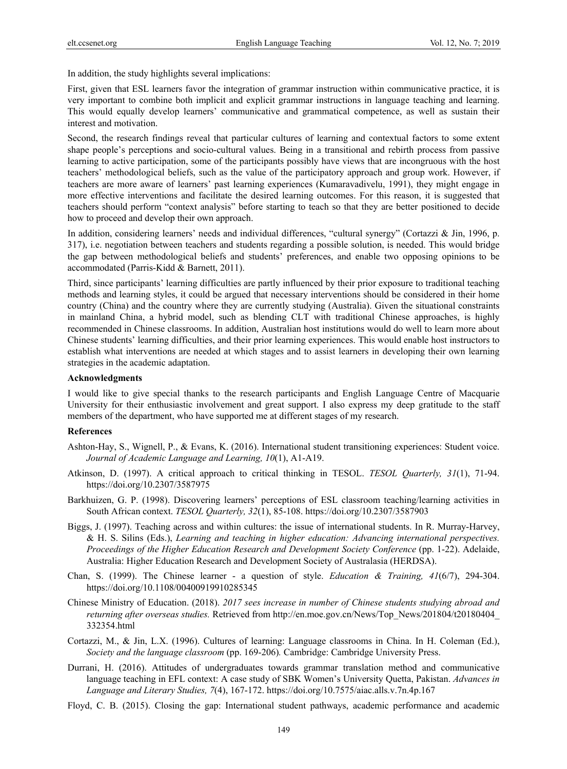In addition, the study highlights several implications:

First, given that ESL learners favor the integration of grammar instruction within communicative practice, it is very important to combine both implicit and explicit grammar instructions in language teaching and learning. This would equally develop learners' communicative and grammatical competence, as well as sustain their interest and motivation.

Second, the research findings reveal that particular cultures of learning and contextual factors to some extent shape people's perceptions and socio-cultural values. Being in a transitional and rebirth process from passive learning to active participation, some of the participants possibly have views that are incongruous with the host teachers' methodological beliefs, such as the value of the participatory approach and group work. However, if teachers are more aware of learners' past learning experiences (Kumaravadivelu, 1991), they might engage in more effective interventions and facilitate the desired learning outcomes. For this reason, it is suggested that teachers should perform "context analysis" before starting to teach so that they are better positioned to decide how to proceed and develop their own approach.

In addition, considering learners' needs and individual differences, "cultural synergy" (Cortazzi & Jin, 1996, p. 317), i.e. negotiation between teachers and students regarding a possible solution, is needed. This would bridge the gap between methodological beliefs and students' preferences, and enable two opposing opinions to be accommodated (Parris-Kidd & Barnett, 2011).

Third, since participants' learning difficulties are partly influenced by their prior exposure to traditional teaching methods and learning styles, it could be argued that necessary interventions should be considered in their home country (China) and the country where they are currently studying (Australia). Given the situational constraints in mainland China, a hybrid model, such as blending CLT with traditional Chinese approaches, is highly recommended in Chinese classrooms. In addition, Australian host institutions would do well to learn more about Chinese students' learning difficulties, and their prior learning experiences. This would enable host instructors to establish what interventions are needed at which stages and to assist learners in developing their own learning strategies in the academic adaptation.

#### **Acknowledgments**

I would like to give special thanks to the research participants and English Language Centre of Macquarie University for their enthusiastic involvement and great support. I also express my deep gratitude to the staff members of the department, who have supported me at different stages of my research.

#### **References**

- Ashton-Hay, S., Wignell, P., & Evans, K. (2016). International student transitioning experiences: Student voice. *Journal of Academic Language and Learning, 10*(1), A1-A19.
- Atkinson, D. (1997). A critical approach to critical thinking in TESOL. *TESOL Quarterly, 31*(1), 71-94. https://doi.org/10.2307/3587975
- Barkhuizen, G. P. (1998). Discovering learners' perceptions of ESL classroom teaching/learning activities in South African context. *TESOL Quarterly, 32*(1), 85-108. https://doi.org/10.2307/3587903
- Biggs, J. (1997). Teaching across and within cultures: the issue of international students. In R. Murray-Harvey, & H. S. Silins (Eds.), *Learning and teaching in higher education: Advancing international perspectives. Proceedings of the Higher Education Research and Development Society Conference* (pp. 1-22). Adelaide, Australia: Higher Education Research and Development Society of Australasia (HERDSA).
- Chan, S. (1999). The Chinese learner a question of style. *Education & Training, 41*(6/7), 294-304. https://doi.org/10.1108/00400919910285345
- Chinese Ministry of Education. (2018). *2017 sees increase in number of Chinese students studying abroad and returning after overseas studies.* Retrieved from http://en.moe.gov.cn/News/Top\_News/201804/t20180404\_ 332354.html
- Cortazzi, M., & Jin, L.X. (1996). Cultures of learning: Language classrooms in China. In H. Coleman (Ed.), *Society and the language classroom* (pp. 169-206)*.* Cambridge: Cambridge University Press.
- Durrani, H. (2016). Attitudes of undergraduates towards grammar translation method and communicative language teaching in EFL context: A case study of SBK Women's University Quetta, Pakistan. *Advances in Language and Literary Studies, 7*(4), 167-172. https://doi.org/10.7575/aiac.alls.v.7n.4p.167
- Floyd, C. B. (2015). Closing the gap: International student pathways, academic performance and academic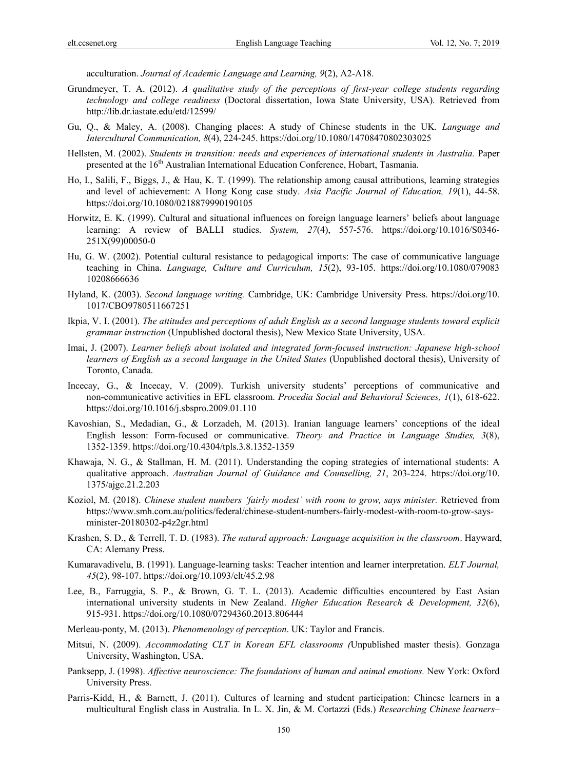acculturation. *Journal of Academic Language and Learning, 9*(2), A2-A18.

- Grundmeyer, T. A. (2012). *A qualitative study of the perceptions of first-year college students regarding technology and college readiness* (Doctoral dissertation, Iowa State University, USA). Retrieved from http://lib.dr.iastate.edu/etd/12599/
- Gu, Q., & Maley, A. (2008). Changing places: A study of Chinese students in the UK. *Language and Intercultural Communication, 8*(4), 224-245. https://doi.org/10.1080/14708470802303025
- Hellsten, M. (2002). *Students in transition: needs and experiences of international students in Australia.* Paper presented at the 16<sup>th</sup> Australian International Education Conference, Hobart, Tasmania.
- Ho, I., Salili, F., Biggs, J., & Hau, K. T. (1999). The relationship among causal attributions, learning strategies and level of achievement: A Hong Kong case study. *Asia Pacific Journal of Education, 19*(1), 44-58. https://doi.org/10.1080/0218879990190105
- Horwitz, E. K. (1999). Cultural and situational influences on foreign language learners' beliefs about language learning: A review of BALLI studies. *System, 27*(4), 557-576. https://doi.org/10.1016/S0346- 251X(99)00050-0
- Hu, G. W. (2002). Potential cultural resistance to pedagogical imports: The case of communicative language teaching in China. *Language, Culture and Curriculum, 15*(2), 93-105. https://doi.org/10.1080/079083 10208666636
- Hyland, K. (2003). *Second language writing.* Cambridge, UK: Cambridge University Press. https://doi.org/10. 1017/CBO9780511667251
- Ikpia, V. I. (2001). *The attitudes and perceptions of adult English as a second language students toward explicit grammar instruction* (Unpublished doctoral thesis), New Mexico State University, USA.
- Imai, J. (2007). *Learner beliefs about isolated and integrated form-focused instruction: Japanese high-school learners of English as a second language in the United States* (Unpublished doctoral thesis), University of Toronto, Canada.
- Incecay, G., & Incecay, V. (2009). Turkish university students' perceptions of communicative and non-communicative activities in EFL classroom. *Procedia Social and Behavioral Sciences, 1*(1), 618-622. https://doi.org/10.1016/j.sbspro.2009.01.110
- Kavoshian, S., Medadian, G., & Lorzadeh, M. (2013). Iranian language learners' conceptions of the ideal English lesson: Form-focused or communicative. *Theory and Practice in Language Studies, 3*(8), 1352-1359. https://doi.org/10.4304/tpls.3.8.1352-1359
- Khawaja, N. G., & Stallman, H. M. (2011). Understanding the coping strategies of international students: A qualitative approach. *Australian Journal of Guidance and Counselling, 21*, 203-224. https://doi.org/10. 1375/ajgc.21.2.203
- Koziol, M. (2018). *Chinese student numbers 'fairly modest' with room to grow, says minister.* Retrieved from https://www.smh.com.au/politics/federal/chinese-student-numbers-fairly-modest-with-room-to-grow-saysminister-20180302-p4z2gr.html
- Krashen, S. D., & Terrell, T. D. (1983). *The natural approach: Language acquisition in the classroom*. Hayward, CA: Alemany Press.
- Kumaravadivelu, B. (1991). Language-learning tasks: Teacher intention and learner interpretation. *ELT Journal, 45*(2), 98-107. https://doi.org/10.1093/elt/45.2.98
- Lee, B., Farruggia, S. P., & Brown, G. T. L. (2013). Academic difficulties encountered by East Asian international university students in New Zealand. *Higher Education Research & Development, 32*(6), 915-931. https://doi.org/10.1080/07294360.2013.806444
- Merleau-ponty, M. (2013). *Phenomenology of perception*. UK: Taylor and Francis.
- Mitsui, N. (2009). *Accommodating CLT in Korean EFL classrooms (*Unpublished master thesis). Gonzaga University, Washington, USA.
- Panksepp, J. (1998). *Affective neuroscience: The foundations of human and animal emotions.* New York: Oxford University Press.
- Parris-Kidd, H., & Barnett, J. (2011). Cultures of learning and student participation: Chinese learners in a multicultural English class in Australia. In L. X. Jin, & M. Cortazzi (Eds.) *Researching Chinese learners–*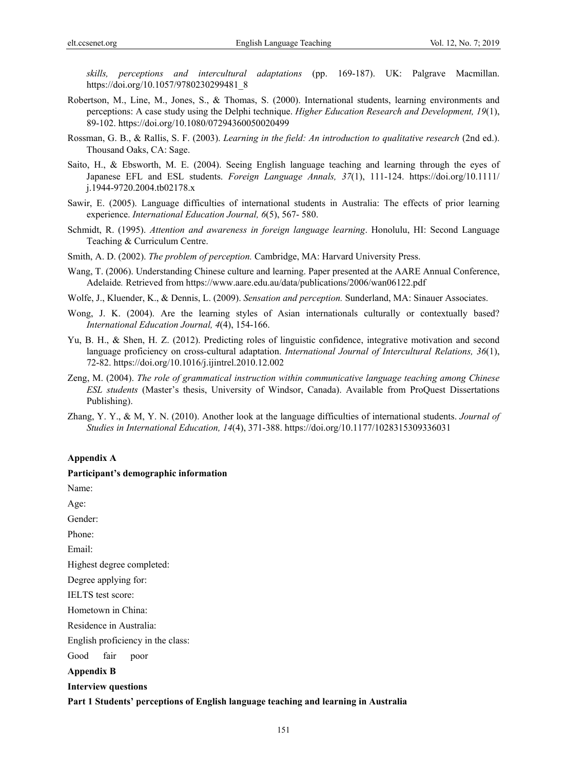*skills, perceptions and intercultural adaptations* (pp. 169-187). UK: Palgrave Macmillan. https://doi.org/10.1057/9780230299481\_8

- Robertson, M., Line, M., Jones, S., & Thomas, S. (2000). International students, learning environments and perceptions: A case study using the Delphi technique. *Higher Education Research and Development, 19*(1), 89-102. https://doi.org/10.1080/07294360050020499
- Rossman, G. B., & Rallis, S. F. (2003). *Learning in the field: An introduction to qualitative research* (2nd ed.). Thousand Oaks, CA: Sage.
- Saito, H., & Ebsworth, M. E. (2004). Seeing English language teaching and learning through the eyes of Japanese EFL and ESL students. *Foreign Language Annals, 37*(1), 111-124. https://doi.org/10.1111/ j.1944-9720.2004.tb02178.x
- Sawir, E. (2005). Language difficulties of international students in Australia: The effects of prior learning experience. *International Education Journal, 6*(5), 567- 580.
- Schmidt, R. (1995). *Attention and awareness in foreign language learning*. Honolulu, HI: Second Language Teaching & Curriculum Centre.
- Smith, A. D. (2002). *The problem of perception.* Cambridge, MA: Harvard University Press.
- Wang, T. (2006). Understanding Chinese culture and learning. Paper presented at the AARE Annual Conference, Adelaide*.* Retrieved from https://www.aare.edu.au/data/publications/2006/wan06122.pdf
- Wolfe, J., Kluender, K., & Dennis, L. (2009). *Sensation and perception.* Sunderland, MA: Sinauer Associates.
- Wong, J. K. (2004). Are the learning styles of Asian internationals culturally or contextually based? *International Education Journal, 4*(4), 154-166.
- Yu, B. H., & Shen, H. Z. (2012). Predicting roles of linguistic confidence, integrative motivation and second language proficiency on cross-cultural adaptation. *International Journal of Intercultural Relations, 36*(1), 72-82. https://doi.org/10.1016/j.ijintrel.2010.12.002
- Zeng, M. (2004). *The role of grammatical instruction within communicative language teaching among Chinese ESL students* (Master's thesis, University of Windsor, Canada). Available from ProQuest Dissertations Publishing).
- Zhang, Y. Y., & M, Y. N. (2010). Another look at the language difficulties of international students. *Journal of Studies in International Education, 14*(4), 371-388. https://doi.org/10.1177/1028315309336031

#### **Appendix A**

#### **Participant's demographic information**

Name:

Age:

Gender:

Phone:

Email:

Highest degree completed:

Degree applying for:

IELTS test score:

Hometown in China:

Residence in Australia:

English proficiency in the class:

Good fair poor

**Appendix B** 

#### **Interview questions**

#### **Part 1 Students' perceptions of English language teaching and learning in Australia**